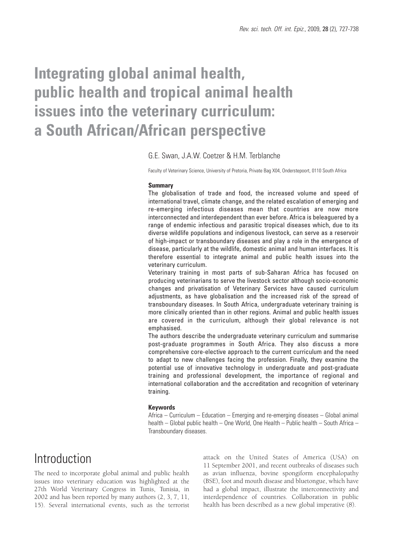# **Integrating global animal health, public health and tropical animal health issues into the veterinary curriculum: a South African/African perspective**

### G.E. Swan, J.A.W. Coetzer & H.M. Terblanche

Faculty of Veterinary Science, University of Pretoria, Private Bag X04, Onderstepoort, 0110 South Africa

### **Summary**

The globalisation of trade and food, the increased volume and speed of international travel, climate change, and the related escalation of emerging and re-emerging infectious diseases mean that countries are now more interconnected and interdependent than ever before. Africa is beleaguered by a range of endemic infectious and parasitic tropical diseases which, due to its diverse wildlife populations and indigenous livestock, can serve as a reservoir of high-impact or transboundary diseases and play a role in the emergence of disease, particularly at the wildlife, domestic animal and human interfaces. It is therefore essential to integrate animal and public health issues into the veterinary curriculum.

Veterinary training in most parts of sub-Saharan Africa has focused on producing veterinarians to serve the livestock sector although socio-economic changes and privatisation of Veterinary Services have caused curriculum adjustments, as have globalisation and the increased risk of the spread of transboundary diseases. In South Africa, undergraduate veterinary training is more clinically oriented than in other regions. Animal and public health issues are covered in the curriculum, although their global relevance is not emphasised.

The authors describe the undergraduate veterinary curriculum and summarise post-graduate programmes in South Africa. They also discuss a more comprehensive core-elective approach to the current curriculum and the need to adapt to new challenges facing the profession. Finally, they examine the potential use of innovative technology in undergraduate and post-graduate training and professional development, the importance of regional and international collaboration and the accreditation and recognition of veterinary training.

#### **Keywords**

Africa – Curriculum – Education – Emerging and re-emerging diseases – Global animal health – Global public health – One World, One Health – Public health – South Africa – Transboundary diseases.

### Introduction

The need to incorporate global animal and public health issues into veterinary education was highlighted at the 27th World Veterinary Congress in Tunis, Tunisia, in 2002 and has been reported by many authors (2, 3, 7, 11, 15). Several international events, such as the terrorist attack on the United States of America (USA) on 11 September 2001, and recent outbreaks of diseases such as avian influenza, bovine spongiform encephalopathy (BSE), foot and mouth disease and bluetongue, which have had a global impact, illustrate the interconnectivity and interdependence of countries. Collaboration in public health has been described as a new global imperative (8).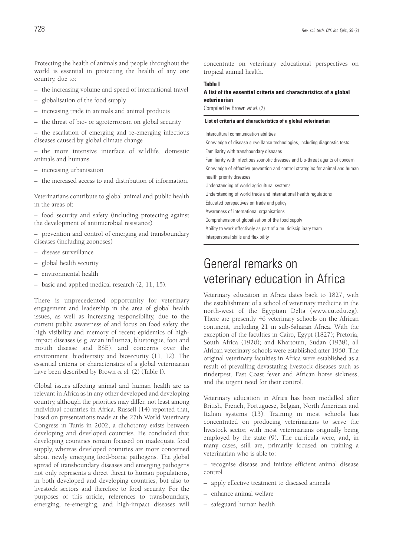Protecting the health of animals and people throughout the world is essential in protecting the health of any one country, due to:

- the increasing volume and speed of international travel
- globalisation of the food supply
- increasing trade in animals and animal products
- the threat of bio- or agroterrorism on global security

– the escalation of emerging and re-emerging infectious diseases caused by global climate change

– the more intensive interface of wildlife, domestic animals and humans

- increasing urbanisation
- the increased access to and distribution of information.

Veterinarians contribute to global animal and public health in the areas of:

– food security and safety (including protecting against the development of antimicrobial resistance)

– prevention and control of emerging and transboundary diseases (including zoonoses)

- disease surveillance
- global health security
- environmental health
- basic and applied medical research (2, 11, 15).

There is unprecedented opportunity for veterinary engagement and leadership in the area of global health issues, as well as increasing responsibility, due to the current public awareness of and focus on food safety, the high visibility and memory of recent epidemics of highimpact diseases (e.g. avian influenza, bluetongue, foot and mouth disease and BSE), and concerns over the environment, biodiversity and biosecurity (11, 12). The essential criteria or characteristics of a global veterinarian have been described by Brown *et al.* (2) (Table I).

Global issues affecting animal and human health are as relevant in Africa as in any other developed and developing country, although the priorities may differ, not least among individual countries in Africa. Russell (14) reported that, based on presentations made at the 27th World Veterinary Congress in Tunis in 2002, a dichotomy exists between developing and developed countries. He concluded that developing countries remain focused on inadequate food supply, whereas developed countries are more concerned about newly emerging food-borne pathogens. The global spread of transboundary diseases and emerging pathogens not only represents a direct threat to human populations, in both developed and developing countries, but also to livestock sectors and therefore to food security. For the purposes of this article, references to transboundary, emerging, re-emerging, and high-impact diseases will

concentrate on veterinary educational perspectives on tropical animal health.

### **Table I**

### **A list of the essential criteria and characteristics of a global veterinarian**

Compiled by Brown *et al.* (2)

#### **List of criteria and characteristics of a global veterinarian**

Intercultural communication abilities Knowledge of disease surveillance technologies, including diagnostic tests

Familiarity with transboundary diseases

Familiarity with infectious zoonotic diseases and bio-threat agents of concern Knowledge of effective prevention and control strategies for animal and human health priority diseases Understanding of world agricultural systems Understanding of world trade and international health regulations

Educated perspectives on trade and policy

Awareness of international organisations

Comprehension of globalisation of the food supply

Ability to work effectively as part of a multidisciplinary team

Interpersonal skills and flexibility

### General remarks on veterinary education in Africa

Veterinary education in Africa dates back to 1827, with the establishment of a school of veterinary medicine in the north-west of the Egyptian Delta (www.cu.edu.eg). There are presently 46 veterinary schools on the African continent, including 21 in sub-Saharan Africa. With the exception of the faculties in Cairo, Egypt (1827); Pretoria, South Africa (1920); and Khartoum, Sudan (1938), all African veterinary schools were established after 1960. The original veterinary faculties in Africa were established as a result of prevailing devastating livestock diseases such as rinderpest, East Coast fever and African horse sickness, and the urgent need for their control.

Veterinary education in Africa has been modelled after British, French, Portuguese, Belgian, North American and Italian systems (13). Training in most schools has concentrated on producing veterinarians to serve the livestock sector, with most veterinarians originally being employed by the state (9). The curricula were, and, in many cases, still are, primarily focused on training a veterinarian who is able to:

– recognise disease and initiate efficient animal disease control

- apply effective treatment to diseased animals
- enhance animal welfare
- safeguard human health.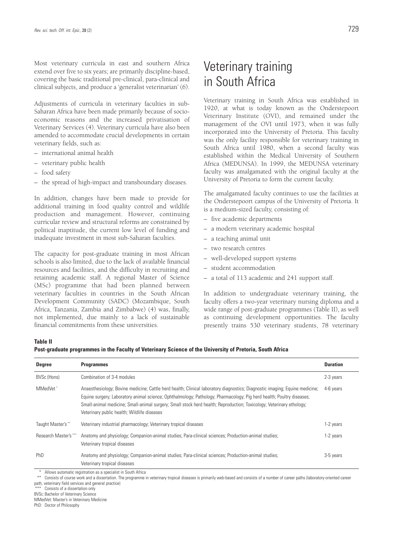Most veterinary curricula in east and southern Africa extend over five to six years; are primarily discipline-based, covering the basic traditional pre-clinical, para-clinical and clinical subjects, and produce a 'generalist veterinarian' (6).

Adjustments of curricula in veterinary faculties in sub-Saharan Africa have been made primarily because of socioeconomic reasons and the increased privatisation of Veterinary Services (4). Veterinary curricula have also been amended to accommodate crucial developments in certain veterinary fields, such as:

- international animal health
- veterinary public health
- food safety
- the spread of high-impact and transboundary diseases.

In addition, changes have been made to provide for additional training in food quality control and wildlife production and management. However, continuing curricular review and structural reforms are constrained by political inaptitude, the current low level of funding and inadequate investment in most sub-Saharan faculties.

The capacity for post-graduate training in most African schools is also limited, due to the lack of available financial resources and facilities, and the difficulty in recruiting and retaining academic staff. A regional Master of Science (MSc) programme that had been planned between veterinary faculties in countries in the South African Development Community (SADC) (Mozambique, South Africa, Tanzania, Zambia and Zimbabwe) (4) was, finally, not implemented, due mainly to a lack of sustainable financial commitments from these universities.

# Veterinary training in South Africa

Veterinary training in South Africa was established in 1920, at what is today known as the Onderstepoort Veterinary Institute (OVI), and remained under the management of the OVI until 1973, when it was fully incorporated into the University of Pretoria. This faculty was the only facility responsible for veterinary training in South Africa until 1980, when a second faculty was established within the Medical University of Southern Africa (MEDUNSA). In 1999, the MEDUNSA veterinary faculty was amalgamated with the original faculty at the University of Pretoria to form the current faculty.

The amalgamated faculty continues to use the facilities at the Onderstepoort campus of the University of Pretoria. It is a medium-sized faculty, consisting of:

- five academic departments
- a modern veterinary academic hospital
- a teaching animal unit
- two research centres
- well-developed support systems
- student accommodation
- a total of 113 academic and 241 support staff.

In addition to undergraduate veterinary training, the faculty offers a two-year veterinary nursing diploma and a wide range of post-graduate programmes (Table II), as well as continuing development opportunities. The faculty presently trains 530 veterinary students, 78 veterinary

#### **Table II**

**Post-graduate programmes in the Faculty of Veterinary Science of the University of Pretoria, South Africa**

| <b>Degree</b>         | <b>Programmes</b>                                                                                                                                                                                                                                                                                                                                                                                                           | <b>Duration</b> |
|-----------------------|-----------------------------------------------------------------------------------------------------------------------------------------------------------------------------------------------------------------------------------------------------------------------------------------------------------------------------------------------------------------------------------------------------------------------------|-----------------|
| BVSc (Hons)           | Combination of 3-4 modules                                                                                                                                                                                                                                                                                                                                                                                                  | 2-3 years       |
| MMedVet*              | Anaesthesiology; Bovine medicine; Cattle herd health; Clinical laboratory diagnostics; Diagnostic imaging; Equine medicine;<br>Equine surgery; Laboratory animal science; Ophthalmology; Pathology; Pharmacology; Pig herd health; Poultry diseases;<br>Small-animal medicine; Small-animal surgery; Small stock herd health; Reproduction; Toxicology; Veterinary ethology;<br>Veterinary public health; Wildlife diseases | 4-6 years       |
| Taught Master's **    | Veterinary industrial pharmacology; Veterinary tropical diseases                                                                                                                                                                                                                                                                                                                                                            | 1-2 years       |
| Research Master's *** | Anatomy and physiology; Companion-animal studies; Para-clinical sciences; Production-animal studies;<br>Veterinary tropical diseases                                                                                                                                                                                                                                                                                        | 1-2 years       |
| PhD                   | Anatomy and physiology; Companion-animal studies; Para-clinical sciences; Production-animal studies;<br>Veterinary tropical diseases                                                                                                                                                                                                                                                                                        | 3-5 years       |

Allows automatic registration as a specialist in South Africa

\*\* Consists of course work and a dissertation. The programme in veterinary tropical diseases is primarily web-based and consists of a number of career paths (laboratory-oriented career path, veterinary field services and general practice)

\*\*\* Consists of a dissertation only

BVSc: Bachelor of Veterinary Science

MMedVet: Master's in Veterinary Medicine

PhD: Doctor of Philosophy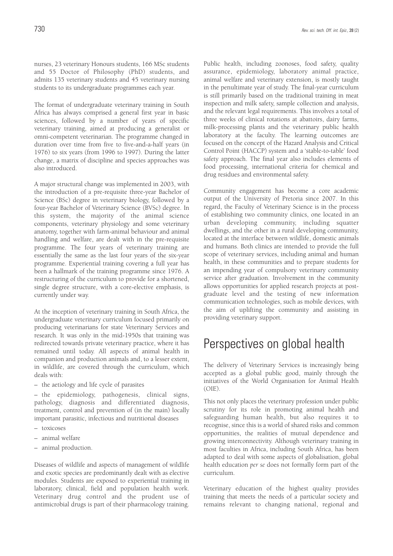nurses, 23 veterinary Honours students, 166 MSc students and 55 Doctor of Philosophy (PhD) students, and admits 135 veterinary students and 45 veterinary nursing students to its undergraduate programmes each year.

The format of undergraduate veterinary training in South Africa has always comprised a general first year in basic sciences, followed by a number of years of specific veterinary training, aimed at producing a generalist or omni-competent veterinarian. The programme changed in duration over time from five to five-and-a-half years (in 1976) to six years (from 1996 to 1997). During the latter change, a matrix of discipline and species approaches was also introduced.

A major structural change was implemented in 2003, with the introduction of a pre-requisite three-year Bachelor of Science (BSc) degree in veterinary biology, followed by a four-year Bachelor of Veterinary Science (BVSc) degree. In this system, the majority of the animal science components, veterinary physiology and some veterinary anatomy, together with farm-animal behaviour and animal handling and welfare, are dealt with in the pre-requisite programme. The four years of veterinary training are essentially the same as the last four years of the six-year programme. Experiential training covering a full year has been a hallmark of the training programme since 1976. A restructuring of the curriculum to provide for a shortened, single degree structure, with a core-elective emphasis, is currently under way.

At the inception of veterinary training in South Africa, the undergraduate veterinary curriculum focused primarily on producing veterinarians for state Veterinary Services and research. It was only in the mid-1950s that training was redirected towards private veterinary practice, where it has remained until today. All aspects of animal health in companion and production animals and, to a lesser extent, in wildlife, are covered through the curriculum, which deals with:

– the aetiology and life cycle of parasites

– the epidemiology, pathogenesis, clinical signs, pathology, diagnosis and differentiated diagnosis, treatment, control and prevention of (in the main) locally important parasitic, infectious and nutritional diseases

- toxicoses
- animal welfare
- animal production.

Diseases of wildlife and aspects of management of wildlife and exotic species are predominantly dealt with as elective modules. Students are exposed to experiential training in laboratory, clinical, field and population health work. Veterinary drug control and the prudent use of antimicrobial drugs is part of their pharmacology training. Public health, including zoonoses, food safety, quality assurance, epidemiology, laboratory animal practice, animal welfare and veterinary extension, is mostly taught in the penultimate year of study. The final-year curriculum is still primarily based on the traditional training in meat inspection and milk safety, sample collection and analysis, and the relevant legal requirements. This involves a total of three weeks of clinical rotations at abattoirs, dairy farms, milk-processing plants and the veterinary public health laboratory at the faculty. The learning outcomes are focused on the concept of the Hazard Analysis and Critical Control Point (HACCP) system and a 'stable-to-table' food safety approach. The final year also includes elements of food processing, international criteria for chemical and drug residues and environmental safety.

Community engagement has become a core academic output of the University of Pretoria since 2007. In this regard, the Faculty of Veterinary Science is in the process of establishing two community clinics, one located in an urban developing community, including squatter dwellings, and the other in a rural developing community, located at the interface between wildlife, domestic animals and humans. Both clinics are intended to provide the full scope of veterinary services, including animal and human health, in these communities and to prepare students for an impending year of compulsory veterinary community service after graduation. Involvement in the community allows opportunities for applied research projects at postgraduate level and the testing of new information communication technologies, such as mobile devices, with the aim of uplifting the community and assisting in providing veterinary support.

### Perspectives on global health

The delivery of Veterinary Services is increasingly being accepted as a global public good, mainly through the initiatives of the World Organisation for Animal Health (OIE).

This not only places the veterinary profession under public scrutiny for its role in promoting animal health and safeguarding human health, but also requires it to recognise, since this is a world of shared risks and common opportunities, the realities of mutual dependence and growing interconnectivity. Although veterinary training in most faculties in Africa, including South Africa, has been adapted to deal with some aspects of globalisation, global health education *per se* does not formally form part of the curriculum.

Veterinary education of the highest quality provides training that meets the needs of a particular society and remains relevant to changing national, regional and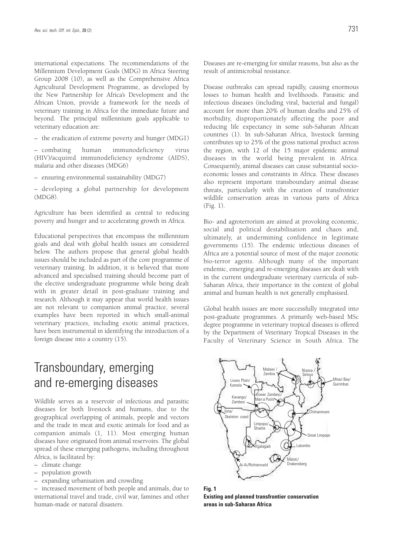international expectations. The recommendations of the Millennium Development Goals (MDG) in Africa Steering Group 2008 (10), as well as the Comprehensive Africa Agricultural Development Programme, as developed by the New Partnership for Africa's Development and the African Union, provide a framework for the needs of veterinary training in Africa for the immediate future and beyond. The principal millennium goals applicable to veterinary education are:

– the eradication of extreme poverty and hunger (MDG1)

– combating human immunodeficiency virus (HIV)/acquired immunodeficiency syndrome (AIDS), malaria and other diseases (MDG6)

– ensuring environmental sustainability (MDG7)

– developing a global partnership for development (MDG8).

Agriculture has been identified as central to reducing poverty and hunger and to accelerating growth in Africa.

Educational perspectives that encompass the millennium goals and deal with global health issues are considered below. The authors propose that general global health issues should be included as part of the core programme of veterinary training. In addition, it is believed that more advanced and specialised training should become part of the elective undergraduate programme while being dealt with in greater detail in post-graduate training and research. Although it may appear that world health issues are not relevant to companion animal practice, several examples have been reported in which small-animal veterinary practices, including exotic animal practices, have been instrumental in identifying the introduction of a foreign disease into a country (15).

### Transboundary, emerging and re-emerging diseases

Wildlife serves as a reservoir of infectious and parasitic diseases for both livestock and humans, due to the geographical overlapping of animals, people and vectors and the trade in meat and exotic animals for food and as companion animals (1, 11). Most emerging human diseases have originated from animal reservoirs. The global spread of these emerging pathogens, including throughout Africa, is facilitated by:

- climate change
- population growth
- expanding urbanisation and crowding

– increased movement of both people and animals, due to international travel and trade, civil war, famines and other human-made or natural disasters.

Diseases are re-emerging for similar reasons, but also as the result of antimicrobial resistance.

Disease outbreaks can spread rapidly, causing enormous losses to human health and livelihoods. Parasitic and infectious diseases (including viral, bacterial and fungal) account for more than 20% of human deaths and 25% of morbidity, disproportionately affecting the poor and reducing life expectancy in some sub-Saharan African countries (1). In sub-Saharan Africa, livestock farming contributes up to 25% of the gross national product across the region, with 12 of the 15 major epidemic animal diseases in the world being prevalent in Africa. Consequently, animal diseases can cause substantial socioeconomic losses and constraints in Africa. These diseases also represent important transboundary animal disease threats, particularly with the creation of transfrontier wildlife conservation areas in various parts of Africa (Fig. 1).

Bio- and agroterrorism are aimed at provoking economic, social and political destabilisation and chaos and, ultimately, at undermining confidence in legitimate governments (15). The endemic infectious diseases of Africa are a potential source of most of the major zoonotic bio-terror agents. Although many of the important endemic, emerging and re-emerging diseases are dealt with in the current undergraduate veterinary curricula of sub-Saharan Africa, their importance in the context of global animal and human health is not generally emphasised.

Global health issues are more successfully integrated into post-graduate programmes. A primarily web-based MSc degree programme in veterinary tropical diseases is offered by the Department of Veterinary Tropical Diseases in the Faculty of Veterinary Science in South Africa. The



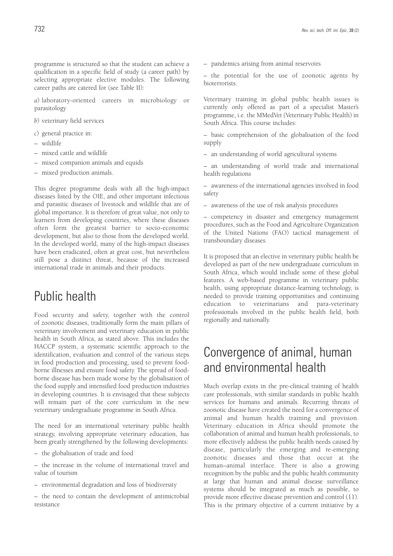programme is structured so that the student can achieve a qualification in a specific field of study (a career path) by selecting appropriate elective modules. The following career paths are catered for (see Table II):

*a*) laboratory-oriented careers in microbiology or parasitology

*b*) veterinary field services

- *c*) general practice in:
- wildlife
- mixed cattle and wildlife
- mixed companion animals and equids
- mixed production animals.

This degree programme deals with all the high-impact diseases listed by the OIE, and other important infectious and parasitic diseases of livestock and wildlife that are of global importance. It is therefore of great value, not only to learners from developing countries, where these diseases often form the greatest barrier to socio-economic development, but also to those from the developed world. In the developed world, many of the high-impact diseases have been eradicated, often at great cost, but nevertheless still pose a distinct threat, because of the increased international trade in animals and their products.

### Public health

Food security and safety, together with the control of zoonotic diseases, traditionally form the main pillars of veterinary involvement and veterinary education in public health in South Africa, as stated above. This includes the HACCP system, a systematic scientific approach to the identification, evaluation and control of the various steps in food production and processing, used to prevent foodborne illnesses and ensure food safety. The spread of foodborne disease has been made worse by the globalisation of the food supply and intensified food production industries in developing countries. It is envisaged that these subjects will remain part of the core curriculum in the new veterinary undergraduate programme in South Africa.

The need for an international veterinary public health strategy, involving appropriate veterinary education, has been greatly strengthened by the following developments:

– the globalisation of trade and food

– the increase in the volume of international travel and value of tourism

– environmental degradation and loss of biodiversity

– the need to contain the development of antimicrobial resistance

– pandemics arising from animal reservoirs

– the potential for the use of zoonotic agents by bioterrorists.

Veterinary training in global public health issues is currently only offered as part of a specialist Master's programme, i.e. the MMedVet (Veterinary Public Health) in South Africa. This course includes:

– basic comprehension of the globalisation of the food supply

– an understanding of world agricultural systems

– an understanding of world trade and international health regulations

– awareness of the international agencies involved in food safety

– awareness of the use of risk analysis procedures

– competency in disaster and emergency management procedures, such as the Food and Agriculture Organization of the United Nations (FAO) tactical management of transboundary diseases.

It is proposed that an elective in veterinary public health be developed as part of the new undergraduate curriculum in South Africa, which would include some of these global features. A web-based programme in veterinary public health, using appropriate distance-learning technology, is needed to provide training opportunities and continuing education to veterinarians and para-veterinary professionals involved in the public health field, both regionally and nationally.

### Convergence of animal, human and environmental health

Much overlap exists in the pre-clinical training of health care professionals, with similar standards in public health services for humans and animals. Recurring threats of zoonotic disease have created the need for a convergence of animal and human health training and provision. Veterinary education in Africa should promote the collaboration of animal and human health professionals, to more effectively address the public health needs caused by disease, particularly the emerging and re-emerging zoonotic diseases and those that occur at the human–animal interface. There is also a growing recognition by the public and the public health community at large that human and animal disease surveillance systems should be integrated as much as possible, to provide more effective disease prevention and control (11). This is the primary objective of a current initiative by a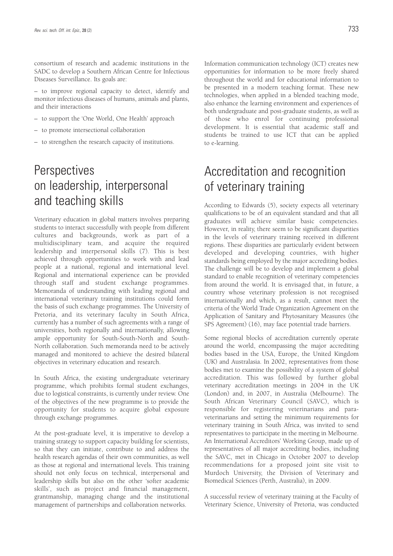consortium of research and academic institutions in the SADC to develop a Southern African Centre for Infectious Diseases Surveillance. Its goals are:

– to improve regional capacity to detect, identify and monitor infectious diseases of humans, animals and plants, and their interactions

- to support the 'One World, One Health' approach
- to promote intersectional collaboration
- to strengthen the research capacity of institutions.

# **Perspectives** on leadership, interpersonal and teaching skills

Veterinary education in global matters involves preparing students to interact successfully with people from different cultures and backgrounds, work as part of a multidisciplinary team, and acquire the required leadership and interpersonal skills (7). This is best achieved through opportunities to work with and lead people at a national, regional and international level. Regional and international experience can be provided through staff and student exchange programmes. Memoranda of understanding with leading regional and international veterinary training institutions could form the basis of such exchange programmes. The University of Pretoria, and its veterinary faculty in South Africa, currently has a number of such agreements with a range of universities, both regionally and internationally, allowing ample opportunity for South-South-North and South-North collaboration. Such memoranda need to be actively managed and monitored to achieve the desired bilateral objectives in veterinary education and research.

In South Africa, the existing undergraduate veterinary programme, which prohibits formal student exchanges, due to logistical constraints, is currently under review. One of the objectives of the new programme is to provide the opportunity for students to acquire global exposure through exchange programmes.

At the post-graduate level, it is imperative to develop a training strategy to support capacity building for scientists, so that they can initiate, contribute to and address the health research agendas of their own communities, as well as those at regional and international levels. This training should not only focus on technical, interpersonal and leadership skills but also on the other 'softer academic skills', such as project and financial management, grantmanship, managing change and the institutional management of partnerships and collaboration networks.

Information communication technology (ICT) creates new opportunities for information to be more freely shared throughout the world and for educational information to be presented in a modern teaching format. These new technologies, when applied in a blended teaching mode, also enhance the learning environment and experiences of both undergraduate and post-graduate students, as well as of those who enrol for continuing professional development. It is essential that academic staff and students be trained to use ICT that can be applied to e-learning.

## Accreditation and recognition of veterinary training

According to Edwards (5), society expects all veterinary qualifications to be of an equivalent standard and that all graduates will achieve similar basic competencies. However, in reality, there seem to be significant disparities in the levels of veterinary training received in different regions. These disparities are particularly evident between developed and developing countries, with higher standards being employed by the major accrediting bodies. The challenge will be to develop and implement a global standard to enable recognition of veterinary competencies from around the world. It is envisaged that, in future, a country whose veterinary profession is not recognised internationally and which, as a result, cannot meet the criteria of the World Trade Organization Agreement on the Application of Sanitary and Phytosanitary Measures (the SPS Agreement) (16), may face potential trade barriers.

Some regional blocks of accreditation currently operate around the world, encompassing the major accrediting bodies based in the USA, Europe, the United Kingdom (UK) and Australasia. In 2002, representatives from those bodies met to examine the possibility of a system of global accreditation. This was followed by further global veterinary accreditation meetings in 2004 in the UK (London) and, in 2007, in Australia (Melbourne). The South African Veterinary Council (SAVC), which is responsible for registering veterinarians and paraveterinarians and setting the minimum requirements for veterinary training in South Africa, was invited to send representatives to participate in the meeting in Melbourne. An International Accreditors' Working Group, made up of representatives of all major accrediting bodies, including the SAVC, met in Chicago in October 2007 to develop recommendations for a proposed joint site visit to Murdoch University, the Division of Veterinary and Biomedical Sciences (Perth, Australia), in 2009.

A successful review of veterinary training at the Faculty of Veterinary Science, University of Pretoria, was conducted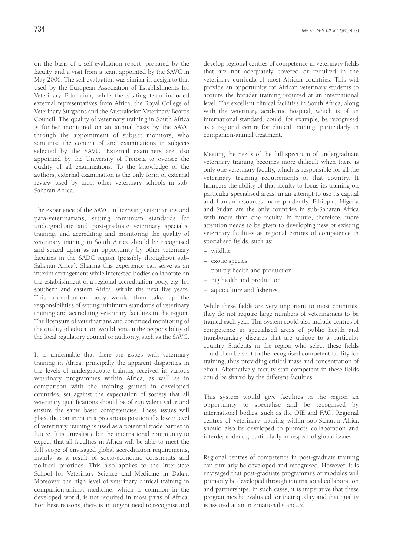on the basis of a self-evaluation report, prepared by the faculty, and a visit from a team appointed by the SAVC in May 2006. The self-evaluation was similar in design to that used by the European Association of Establishments for Veterinary Education, while the visiting team included external representatives from Africa, the Royal College of Veterinary Surgeons and the Australasian Veterinary Boards Council. The quality of veterinary training in South Africa is further monitored on an annual basis by the SAVC through the appointment of subject monitors, who scrutinise the content of and examinations in subjects selected by the SAVC. External examiners are also appointed by the University of Pretoria to oversee the quality of all examinations. To the knowledge of the authors, external examination is the only form of external review used by most other veterinary schools in sub-Saharan Africa.

The experience of the SAVC in licensing veterinarians and para-veterinarians, setting minimum standards for undergraduate and post-graduate veterinary specialist training, and accrediting and monitoring the quality of veterinary training in South Africa should be recognised and seized upon as an opportunity by other veterinary faculties in the SADC region (possibly throughout sub-Saharan Africa). Sharing this experience can serve as an interim arrangement while interested bodies collaborate on the establishment of a regional accreditation body, e.g. for southern and eastern Africa, within the next five years. This accreditation body would then take up the responsibilities of setting minimum standards of veterinary training and accrediting veterinary faculties in the region. The licensure of veterinarians and continued monitoring of the quality of education would remain the responsibility of the local regulatory council or authority, such as the SAVC.

It is undeniable that there are issues with veterinary training in Africa, principally the apparent disparities in the levels of undergraduate training received in various veterinary programmes within Africa, as well as in comparison with the training gained in developed countries, set against the expectation of society that all veterinary qualifications should be of equivalent value and ensure the same basic competencies. These issues will place the continent in a precarious position if a lower level of veterinary training is used as a potential trade barrier in future. It is unrealistic for the international community to expect that all faculties in Africa will be able to meet the full scope of envisaged global accreditation requirements, mainly as a result of socio-economic constraints and political priorities. This also applies to the Inter-state School for Veterinary Science and Medicine in Dakar. Moreover, the high level of veterinary clinical training in companion-animal medicine, which is common in the developed world, is not required in most parts of Africa. For these reasons, there is an urgent need to recognise and

develop regional centres of competence in veterinary fields that are not adequately covered or required in the veterinary curricula of most African countries. This will provide an opportunity for African veterinary students to acquire the broader training required at an international level. The excellent clinical facilities in South Africa, along with the veterinary academic hospital, which is of an international standard, could, for example, be recognised as a regional centre for clinical training, particularly in companion-animal treatment.

Meeting the needs of the full spectrum of undergraduate veterinary training becomes more difficult when there is only one veterinary faculty, which is responsible for all the veterinary training requirements of that country. It hampers the ability of that faculty to focus its training on particular specialised areas, in an attempt to use its capital and human resources more prudently. Ethiopia, Nigeria and Sudan are the only countries in sub-Saharan Africa with more than one faculty. In future, therefore, more attention needs to be given to developing new or existing veterinary facilities as regional centres of competence in specialised fields, such as:

- wildlife
- exotic species
- poultry health and production
- pig health and production
- aquaculture and fisheries.

While these fields are very important to most countries, they do not require large numbers of veterinarians to be trained each year. This system could also include centres of competence in specialised areas of public health and transboundary diseases that are unique to a particular country. Students in the region who select these fields could then be sent to the recognised competent facility for training, thus providing critical mass and concentration of effort. Alternatively, faculty staff competent in these fields could be shared by the different faculties.

This system would give faculties in the region an opportunity to specialise and be recognised by international bodies, such as the OIE and FAO. Regional centres of veterinary training within sub-Saharan Africa should also be developed to promote collaboration and interdependence, particularly in respect of global issues.

Regional centres of competence in post-graduate training can similarly be developed and recognised. However, it is envisaged that post-graduate programmes or modules will primarily be developed through international collaboration and partnerships. In such cases, it is imperative that these programmes be evaluated for their quality and that quality is assured at an international standard.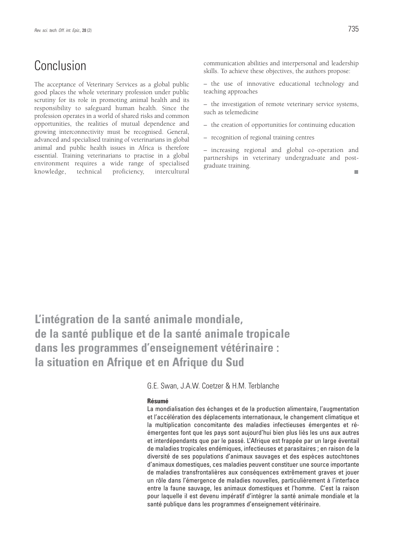### Conclusion

The acceptance of Veterinary Services as a global public good places the whole veterinary profession under public scrutiny for its role in promoting animal health and its responsibility to safeguard human health. Since the profession operates in a world of shared risks and common opportunities, the realities of mutual dependence and growing interconnectivity must be recognised. General, advanced and specialised training of veterinarians in global animal and public health issues in Africa is therefore essential. Training veterinarians to practise in a global environment requires a wide range of specialised knowledge, technical proficiency, intercultural communication abilities and interpersonal and leadership skills. To achieve these objectives, the authors propose:

– the use of innovative educational technology and teaching approaches

– the investigation of remote veterinary service systems, such as telemedicine

– the creation of opportunities for continuing education

– recognition of regional training centres

– increasing regional and global co-operation and partnerships in veterinary undergraduate and postgraduate training. m.

**L'intégration de la santé animale mondiale, de la santé publique et de la santé animale tropicale dans les programmes d'enseignement vétérinaire : la situation en Afrique et en Afrique du Sud**

G.E. Swan, J.A.W. Coetzer & H.M. Terblanche

#### **Résumé**

La mondialisation des échanges et de la production alimentaire, l'augmentation et l'accélération des déplacements internationaux, le changement climatique et la multiplication concomitante des maladies infectieuses émergentes et réémergentes font que les pays sont aujourd'hui bien plus liés les uns aux autres et interdépendants que par le passé. L'Afrique est frappée par un large éventail de maladies tropicales endémiques, infectieuses et parasitaires ; en raison de la diversité de ses populations d'animaux sauvages et des espèces autochtones d'animaux domestiques, ces maladies peuvent constituer une source importante de maladies transfrontalières aux conséquences extrêmement graves et jouer un rôle dans l'émergence de maladies nouvelles, particulièrement à l'interface entre la faune sauvage, les animaux domestiques et l'homme. C'est la raison pour laquelle il est devenu impératif d'intégrer la santé animale mondiale et la santé publique dans les programmes d'enseignement vétérinaire.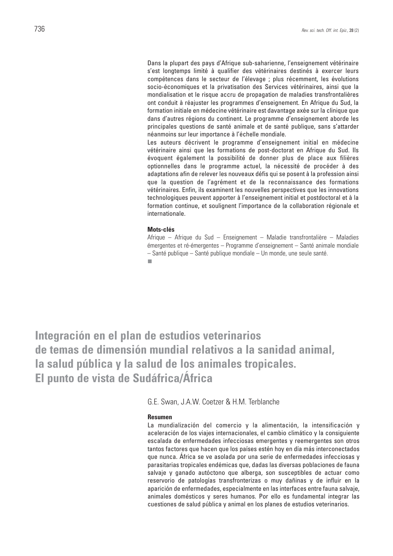Dans la plupart des pays d'Afrique sub-saharienne, l'enseignement vétérinaire s'est longtemps limité à qualifier des vétérinaires destinés à exercer leurs compétences dans le secteur de l'élevage ; plus récemment, les évolutions socio-économiques et la privatisation des Services vétérinaires, ainsi que la mondialisation et le risque accru de propagation de maladies transfrontalières ont conduit à réajuster les programmes d'enseignement. En Afrique du Sud, la formation initiale en médecine vétérinaire est davantage axée sur la clinique que dans d'autres régions du continent. Le programme d'enseignement aborde les principales questions de santé animale et de santé publique, sans s'attarder néanmoins sur leur importance à l'échelle mondiale.

Les auteurs décrivent le programme d'enseignement initial en médecine vétérinaire ainsi que les formations de post-doctorat en Afrique du Sud. Ils évoquent également la possibilité de donner plus de place aux filières optionnelles dans le programme actuel, la nécessité de procéder à des adaptations afin de relever les nouveaux défis qui se posent à la profession ainsi que la question de l'agrément et de la reconnaissance des formations vétérinaires. Enfin, ils examinent les nouvelles perspectives que les innovations technologiques peuvent apporter à l'enseignement initial et postdoctoral et à la formation continue, et soulignent l'importance de la collaboration régionale et internationale.

#### **Mots-clés**

Afrique – Afrique du Sud – Enseignement – Maladie transfrontalière – Maladies émergentes et ré-émergentes – Programme d'enseignement – Santé animale mondiale – Santé publique – Santé publique mondiale – Un monde, une seule santé.m.

**Integración en el plan de estudios veterinarios de temas de dimensión mundial relativos a la sanidad animal, la salud pública y la salud de los animales tropicales. El punto de vista de Sudáfrica/África**

G.E. Swan, J.A.W. Coetzer & H.M. Terblanche

#### **Resumen**

La mundialización del comercio y la alimentación, la intensificación y aceleración de los viajes internacionales, el cambio climático y la consiguiente escalada de enfermedades infecciosas emergentes y reemergentes son otros tantos factores que hacen que los países estén hoy en día más interconectados que nunca. África se ve asolada por una serie de enfermedades infecciosas y parasitarias tropicales endémicas que, dadas las diversas poblaciones de fauna salvaje y ganado autóctono que alberga, son susceptibles de actuar como reservorio de patologías transfronterizas o muy dañinas y de influir en la aparición de enfermedades, especialmente en las interfaces entre fauna salvaje, animales domésticos y seres humanos. Por ello es fundamental integrar las cuestiones de salud pública y animal en los planes de estudios veterinarios.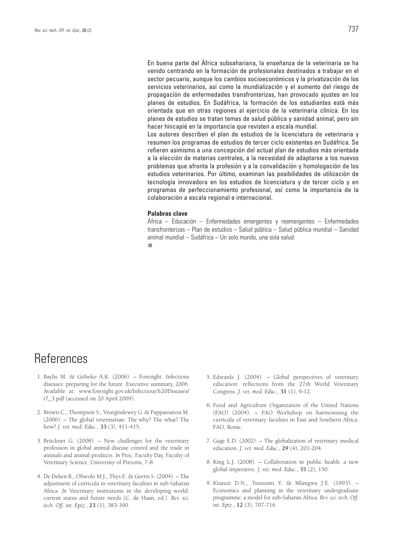En buena parte del África subsahariana, la enseñanza de la veterinaria se ha venido centrando en la formación de profesionales destinados a trabajar en el sector pecuario, aunque los cambios socioeconómicos y la privatización de los servicios veterinarios, así como la mundialización y el aumento del riesgo de propagación de enfermedades transfronterizas, han provocado ajustes en los planes de estudios. En Sudáfrica, la formación de los estudiantes está más orientada que en otras regiones al ejercicio de la veterinaria clínica. En los planes de estudios se tratan temas de salud pública y sanidad animal, pero sin hacer hincapié en la importancia que revisten a escala mundial.

Los autores describen el plan de estudios de la licenciatura de veterinaria y resumen los programas de estudios de tercer ciclo existentes en Sudáfrica. Se refieren asimismo a una concepción del actual plan de estudios más orientada a la elección de materias centrales, a la necesidad de adaptarse a los nuevos problemas que afronta la profesión y a la convalidación y homologación de los estudios veterinarios. Por último, examinan las posibilidades de utilización de tecnología innovadora en los estudios de licenciatura y de tercer ciclo y en programas de perfeccionamiento profesional, así como la importancia de la colaboración a escala regional e internacional.

#### **Palabras clave**

África – Educación – Enfermedades emergentes y reemergentes – Enfermedades transfronterizas – Plan de estudios – Salud pública – Salud pública mundial – Sanidad animal mundial – Sudáfrica – Un solo mundo, una sola salud.

п

# **References**

- 1. Baylis M. & Githeko A.K. (2006). Foresight. Infectious diseases: preparing for the future. Executive summary, 2006. Available at: www.foresight.gov.uk/Infectious%20Diseases/ t7\_3.pdf (accessed on 20 April 2009).
- 2. Brown C., Thompson S., Vroegindewey G.& Pappaioanou M. (2006). – The global veterinarian: The why? The what? The how? *J. vet. med. Educ.*, **33** (3), 411-415.
- 3. Brückner G. (2008). New challenges for the veterinary profession in global animal disease control and the trade in animals and animal products. *In* Proc. Faculty Day, Faculty of Veterinary Science, University of Pretoria, 7-8.
- 4. De Deken R., Obwolo M.J., Thys E. & Geerts S. (2004). The adjustment of curricula in veterinary faculties in sub-Saharan Africa. *In* Veterinary institutions in the developing world: current status and future needs (C. de Haan, ed.). *Rev. sci. tech. Off. int. Epiz.*, **23** (1), 383-390.
- 5. Edwards J. (2004). Global perspectives of veterinary education: reflections from the 27th World Veterinary Congress. *J. vet. med. Educ.*, **31** (1), 9-12.
- 6. Food and Agriculture Organization of the United Nations (FAO) (2004). – FAO Workshop on harmonising the curricula of veterinary faculties in East and Southern Africa. FAO, Rome.
- 7. Gage E.D. (2002). The globalization of veterinary medical education. *J. vet. med. Educ.*, **29** (4), 201-204.
- 8. King L.J. (2008). Collaboration in public health: a new global imperative. *J. vet. med. Educ.*, **35** (2), 150.
- 9. Kisauzi D.N., Tsutsumi Y. & Mlangwa J.E. (1993). Economics and planning in the veterinary undergraduate programme: a model for sub-Saharan Africa*. Rev. sci. tech. Off. int. Epiz.*, **12** (3), 707-716.